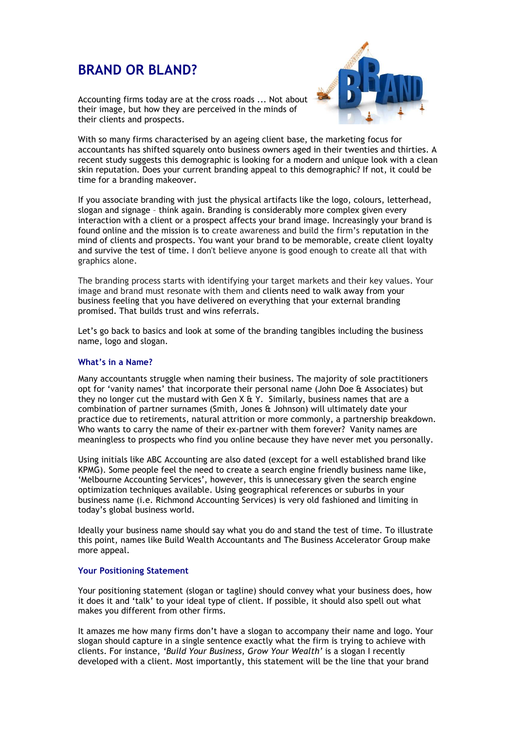# **BRAND OR BLAND?**



Accounting firms today are at the cross roads ... Not about their image, but how they are perceived in the minds of their clients and prospects.

With so many firms characterised by an ageing client base, the marketing focus for accountants has shifted squarely onto business owners aged in their twenties and thirties. A recent study suggests this demographic is looking for a modern and unique look with a clean skin reputation. Does your current branding appeal to this demographic? If not, it could be time for a branding makeover.

If you associate branding with just the physical artifacts like the logo, colours, letterhead, slogan and signage – think again. Branding is considerably more complex given every interaction with a client or a prospect affects your brand image. Increasingly your brand is found online and the mission is to create awareness and build the firm's reputation in the mind of clients and prospects. You want your brand to be memorable, create client loyalty and survive the test of time. I don't believe anyone is good enough to create all that with graphics alone.

The branding process starts with identifying your target markets and their key values. Your image and brand must resonate with them and clients need to walk away from your business feeling that you have delivered on everything that your external branding promised. That builds trust and wins referrals.

Let's go back to basics and look at some of the branding tangibles including the business name, logo and slogan.

## **What's in a Name?**

Many accountants struggle when naming their business. The majority of sole practitioners opt for 'vanity names' that incorporate their personal name (John Doe & Associates) but they no longer cut the mustard with Gen  $X \& Y$ . Similarly, business names that are a combination of partner surnames (Smith, Jones & Johnson) will ultimately date your practice due to retirements, natural attrition or more commonly, a partnership breakdown. Who wants to carry the name of their ex-partner with them forever? Vanity names are meaningless to prospects who find you online because they have never met you personally.

Using initials like ABC Accounting are also dated (except for a well established brand like KPMG). Some people feel the need to create a search engine friendly business name like, 'Melbourne Accounting Services', however, this is unnecessary given the search engine optimization techniques available. Using geographical references or suburbs in your business name (i.e. Richmond Accounting Services) is very old fashioned and limiting in today's global business world.

Ideally your business name should say what you do and stand the test of time. To illustrate this point, names like Build Wealth Accountants and The Business Accelerator Group make more appeal.

#### **Your Positioning Statement**

Your positioning statement (slogan or tagline) should convey what your business does, how it does it and 'talk' to your ideal type of client. If possible, it should also spell out what makes you different from other firms.

It amazes me how many firms don't have a slogan to accompany their name and logo. Your slogan should capture in a single sentence exactly what the firm is trying to achieve with clients. For instance, *'Build Your Business, Grow Your Wealth'* is a slogan I recently developed with a client. Most importantly, this statement will be the line that your brand